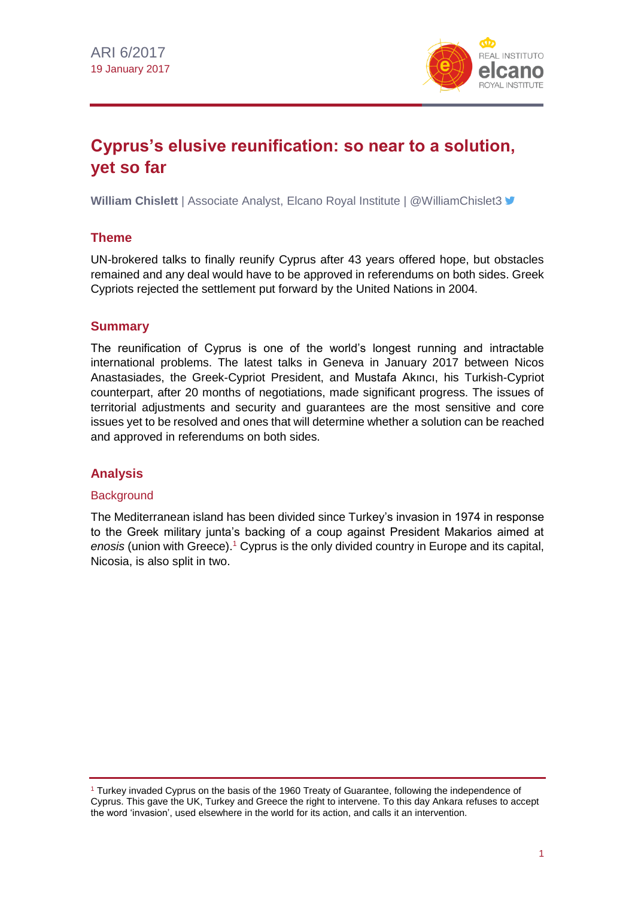

# **Cyprus's elusive reunification: so near to a solution, yet so far**

**William Chislett** | Associate Analyst, Elcano Royal Institute | @WilliamChislet3 **■** 

#### **Theme**

UN-brokered talks to finally reunify Cyprus after 43 years offered hope, but obstacles remained and any deal would have to be approved in referendums on both sides. Greek Cypriots rejected the settlement put forward by the United Nations in 2004.

#### **Summary**

The reunification of Cyprus is one of the world's longest running and intractable international problems. The latest talks in Geneva in January 2017 between Nicos Anastasiades, the Greek-Cypriot President, and Mustafa Akıncı, his Turkish-Cypriot counterpart, after 20 months of negotiations, made significant progress. The issues of territorial adjustments and security and guarantees are the most sensitive and core issues yet to be resolved and ones that will determine whether a solution can be reached and approved in referendums on both sides.

### **Analysis**

#### **Background**

The Mediterranean island has been divided since Turkey's invasion in 1974 in response to the Greek military junta's backing of a coup against President Makarios aimed at *enosis* (union with Greece).<sup>1</sup> Cyprus is the only divided country in Europe and its capital, Nicosia, is also split in two.

 $1$  Turkey invaded Cyprus on the basis of the 1960 Treaty of Guarantee, following the independence of Cyprus. This gave the UK, Turkey and Greece the right to intervene. To this day Ankara refuses to accept the word 'invasion', used elsewhere in the world for its action, and calls it an intervention.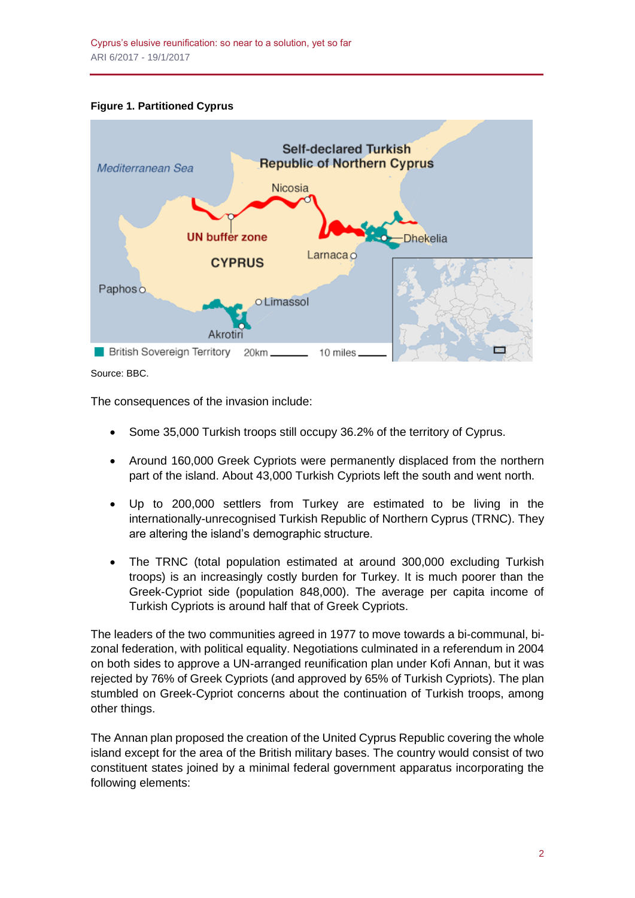#### **Figure 1. Partitioned Cyprus**



Source: BBC.

The consequences of the invasion include:

- Some 35,000 Turkish troops still occupy 36.2% of the territory of Cyprus.
- Around 160,000 Greek Cypriots were permanently displaced from the northern part of the island. About 43,000 Turkish Cypriots left the south and went north.
- Up to 200,000 settlers from Turkey are estimated to be living in the internationally-unrecognised Turkish Republic of Northern Cyprus (TRNC). They are altering the island's demographic structure.
- The TRNC (total population estimated at around 300,000 excluding Turkish troops) is an increasingly costly burden for Turkey. It is much poorer than the Greek-Cypriot side (population 848,000). The average per capita income of Turkish Cypriots is around half that of Greek Cypriots.

The leaders of the two communities agreed in 1977 to move towards a bi-communal, bizonal federation, with political equality. Negotiations culminated in a referendum in 2004 on both sides to approve a UN-arranged reunification plan under Kofi Annan, but it was rejected by 76% of Greek Cypriots (and approved by 65% of Turkish Cypriots). The plan stumbled on Greek-Cypriot concerns about the continuation of Turkish troops, among other things.

The Annan plan proposed the creation of the United Cyprus Republic covering the whole island except for the area of the British military bases. The country would consist of two constituent states joined by a minimal federal government apparatus incorporating the following elements: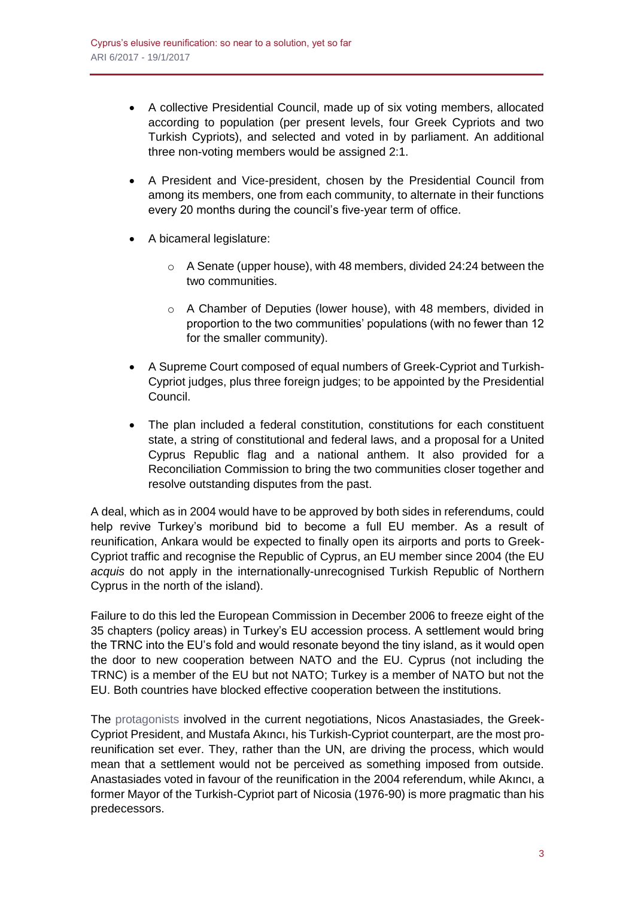- A collective Presidential Council, made up of six voting members, allocated according to population (per present levels, four Greek Cypriots and two Turkish Cypriots), and selected and voted in by parliament. An additional three non-voting members would be assigned 2:1.
- A President and Vice-president, chosen by the Presidential Council from among its members, one from each community, to alternate in their functions every 20 months during the council's five-year term of office.
- A bicameral legislature:
	- o A Senate (upper house), with 48 members, divided 24:24 between the two communities.
	- o A Chamber of Deputies (lower house), with 48 members, divided in proportion to the two communities' populations (with no fewer than 12 for the smaller community).
- A Supreme Court composed of equal numbers of Greek-Cypriot and Turkish-Cypriot judges, plus three foreign judges; to be appointed by the Presidential Council.
- The plan included a federal constitution, constitutions for each constituent state, a string of constitutional and federal laws, and a proposal for a United Cyprus Republic flag and a national anthem. It also provided for a Reconciliation Commission to bring the two communities closer together and resolve outstanding disputes from the past.

A deal, which as in 2004 would have to be approved by both sides in referendums, could help revive Turkey's moribund bid to become a full EU member. As a result of reunification, Ankara would be expected to finally open its airports and ports to Greek-Cypriot traffic and recognise the Republic of Cyprus, an EU member since 2004 (the EU *acquis* do not apply in the internationally-unrecognised Turkish Republic of Northern Cyprus in the north of the island).

Failure to do this led the European Commission in December 2006 to freeze eight of the 35 chapters (policy areas) in Turkey's EU accession process. A settlement would bring the TRNC into the EU's fold and would resonate beyond the tiny island, as it would open the door to new cooperation between NATO and the EU. Cyprus (not including the TRNC) is a member of the EU but not NATO; Turkey is a member of NATO but not the EU. Both countries have blocked effective cooperation between the institutions.

The [protagonists](http://www.realinstitutoelcano.org/wps/portal/web/rielcano_en/contenido?WCM_GLOBAL_CONTEXT=/elcano/elcano_in/zonas_in/commentary-chislett-northern-cyprus-presidential-victory-revives-hopes-of-reunifying-the-island#.VT5xW2SeDGd) involved in the current negotiations, Nicos Anastasiades, the Greek-Cypriot President, and Mustafa Akıncı, his Turkish-Cypriot counterpart, are the most proreunification set ever. They, rather than the UN, are driving the process, which would mean that a settlement would not be perceived as something imposed from outside. Anastasiades voted in favour of the reunification in the 2004 referendum, while Akıncı, a former Mayor of the Turkish-Cypriot part of Nicosia (1976-90) is more pragmatic than his predecessors.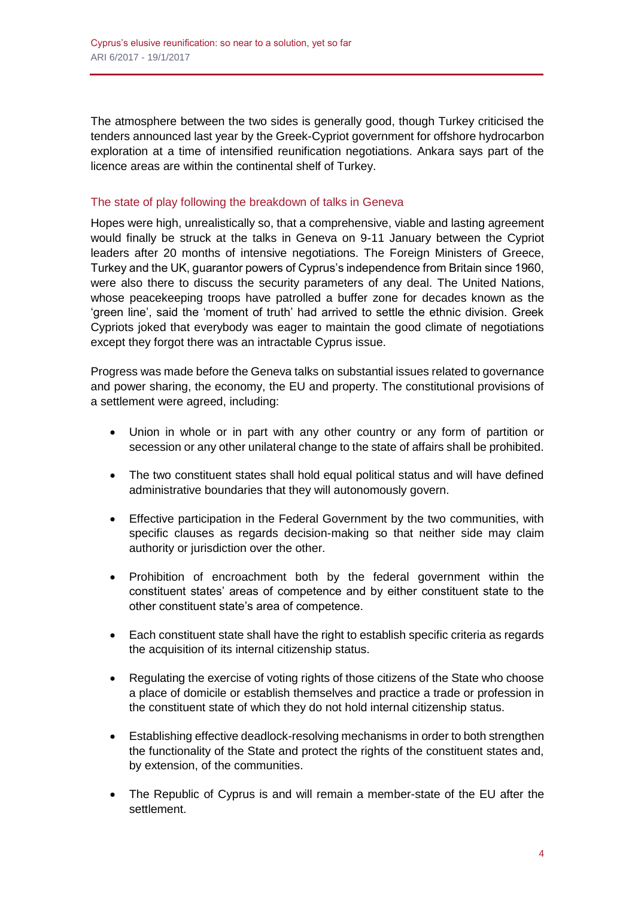The atmosphere between the two sides is generally good, though Turkey criticised the tenders announced last year by the Greek-Cypriot government for offshore hydrocarbon exploration at a time of intensified reunification negotiations. Ankara says part of the licence areas are within the continental shelf of Turkey.

#### The state of play following the breakdown of talks in Geneva

Hopes were high, unrealistically so, that a comprehensive, viable and lasting agreement would finally be struck at the talks in Geneva on 9-11 January between the Cypriot leaders after 20 months of intensive negotiations. The Foreign Ministers of Greece, Turkey and the UK, guarantor powers of Cyprus's independence from Britain since 1960, were also there to discuss the security parameters of any deal. The United Nations, whose peacekeeping troops have patrolled a buffer zone for decades known as the 'green line', said the 'moment of truth' had arrived to settle the ethnic division. Greek Cypriots joked that everybody was eager to maintain the good climate of negotiations except they forgot there was an intractable Cyprus issue.

Progress was made before the Geneva talks on substantial issues related to governance and power sharing, the economy, the EU and property. The constitutional provisions of a settlement were agreed, including:

- Union in whole or in part with any other country or any form of partition or secession or any other unilateral change to the state of affairs shall be prohibited.
- The two constituent states shall hold equal political status and will have defined administrative boundaries that they will autonomously govern.
- Effective participation in the Federal Government by the two communities, with specific clauses as regards decision-making so that neither side may claim authority or jurisdiction over the other.
- Prohibition of encroachment both by the federal government within the constituent states' areas of competence and by either constituent state to the other constituent state's area of competence.
- Each constituent state shall have the right to establish specific criteria as regards the acquisition of its internal citizenship status.
- Regulating the exercise of voting rights of those citizens of the State who choose a place of domicile or establish themselves and practice a trade or profession in the constituent state of which they do not hold internal citizenship status.
- Establishing effective deadlock-resolving mechanisms in order to both strengthen the functionality of the State and protect the rights of the constituent states and, by extension, of the communities.
- The Republic of Cyprus is and will remain a member-state of the EU after the settlement.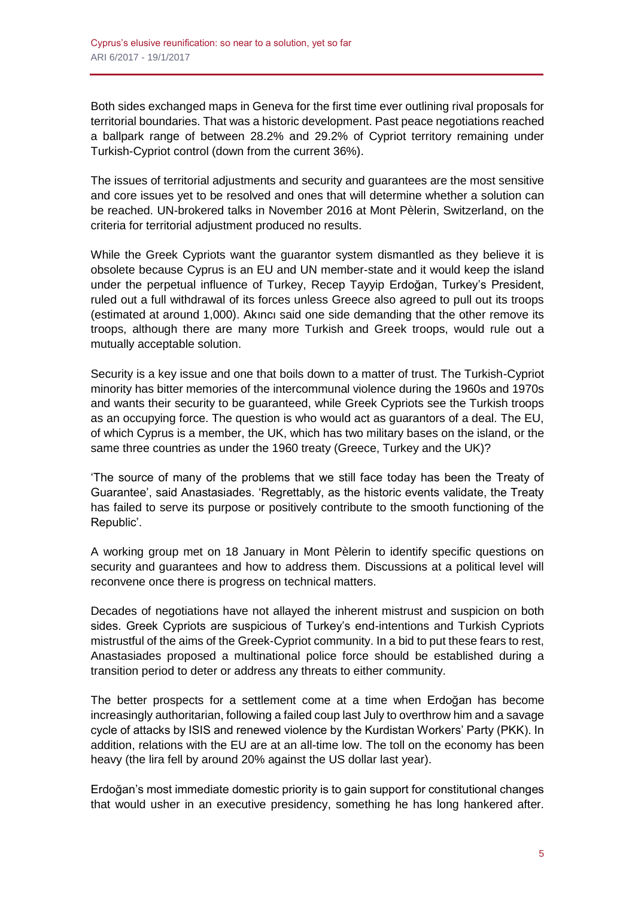Both sides exchanged maps in Geneva for the first time ever outlining rival proposals for territorial boundaries. That was a historic development. Past peace negotiations reached a ballpark range of between 28.2% and 29.2% of Cypriot territory remaining under Turkish-Cypriot control (down from the current 36%).

The issues of territorial adjustments and security and guarantees are the most sensitive and core issues yet to be resolved and ones that will determine whether a solution can be reached. UN-brokered talks in November 2016 at Mont Pèlerin, Switzerland, on the criteria for territorial adjustment produced no results.

While the Greek Cypriots want the guarantor system dismantled as they believe it is obsolete because Cyprus is an EU and UN member-state and it would keep the island under the perpetual influence of Turkey, Recep Tayyip Erdoğan, Turkey's President, ruled out a full withdrawal of its forces unless Greece also agreed to pull out its troops (estimated at around 1,000). Akıncı said one side demanding that the other remove its troops, although there are many more Turkish and Greek troops, would rule out a mutually acceptable solution.

Security is a key issue and one that boils down to a matter of trust. The Turkish-Cypriot minority has bitter memories of the intercommunal violence during the 1960s and 1970s and wants their security to be guaranteed, while Greek Cypriots see the Turkish troops as an occupying force. The question is who would act as guarantors of a deal. The EU, of which Cyprus is a member, the UK, which has two military bases on the island, or the same three countries as under the 1960 treaty (Greece, Turkey and the UK)?

'The source of many of the problems that we still face today has been the Treaty of Guarantee', said Anastasiades. 'Regrettably, as the historic events validate, the Treaty has failed to serve its purpose or positively contribute to the smooth functioning of the Republic'.

A working group met on 18 January in Mont Pèlerin to identify specific questions on security and guarantees and how to address them. Discussions at a political level will reconvene once there is progress on technical matters.

Decades of negotiations have not allayed the inherent mistrust and suspicion on both sides. Greek Cypriots are suspicious of Turkey's end-intentions and Turkish Cypriots mistrustful of the aims of the Greek-Cypriot community. In a bid to put these fears to rest, Anastasiades proposed a multinational police force should be established during a transition period to deter or address any threats to either community.

The better prospects for a settlement come at a time when Erdoğan has become increasingly authoritarian, following a failed coup last July to overthrow him and a savage cycle of attacks by ISIS and renewed violence by the Kurdistan Workers' Party (PKK). In addition, relations with the EU are at an all-time low. The toll on the economy has been heavy (the lira fell by around 20% against the US dollar last year).

Erdoğan's most immediate domestic priority is to gain support for constitutional changes that would usher in an executive presidency, something he has long hankered after.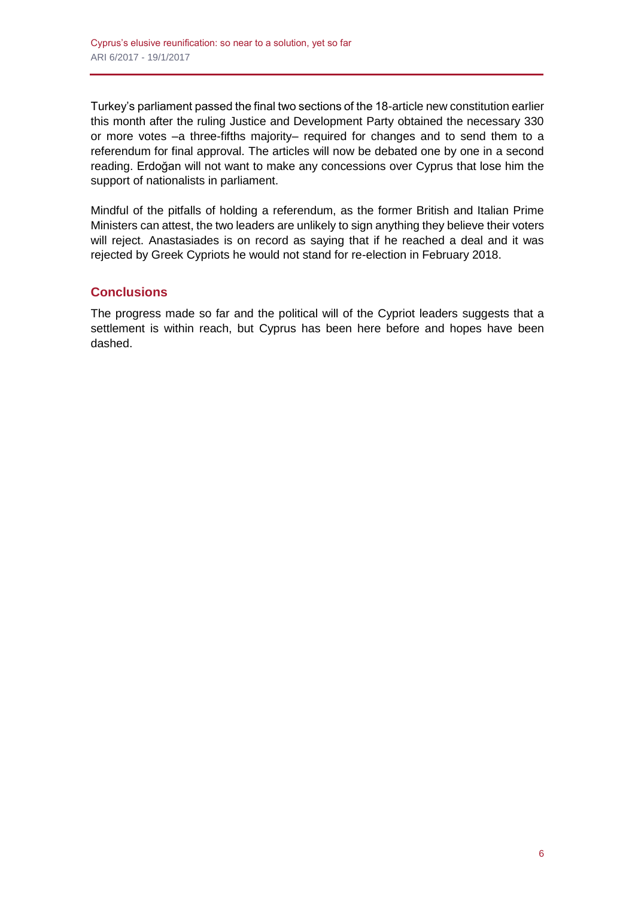Turkey's parliament passed the final two sections of the 18-article new constitution earlier this month after the ruling Justice and Development Party obtained the necessary 330 or more votes –a three-fifths majority– required for changes and to send them to a referendum for final approval. The articles will now be debated one by one in a second reading. Erdoğan will not want to make any concessions over Cyprus that lose him the support of nationalists in parliament.

Mindful of the pitfalls of holding a referendum, as the former British and Italian Prime Ministers can attest, the two leaders are unlikely to sign anything they believe their voters will reject. Anastasiades is on record as saying that if he reached a deal and it was rejected by Greek Cypriots he would not stand for re-election in February 2018.

## **Conclusions**

The progress made so far and the political will of the Cypriot leaders suggests that a settlement is within reach, but Cyprus has been here before and hopes have been dashed.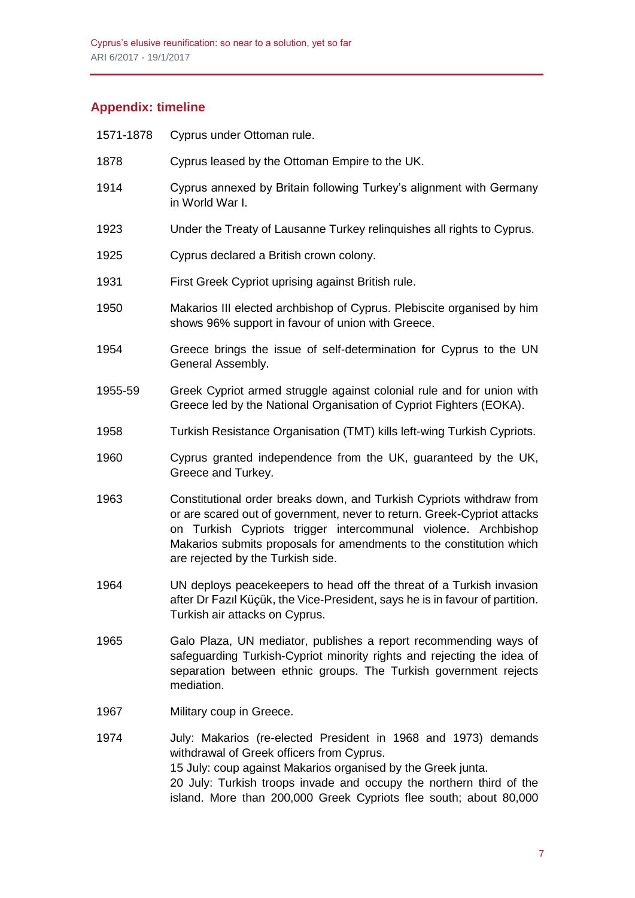# **Appendix: timeline**

| 1571-1878 | Cyprus under Ottoman rule.                                                                                                                                                                                                                                                                                                    |
|-----------|-------------------------------------------------------------------------------------------------------------------------------------------------------------------------------------------------------------------------------------------------------------------------------------------------------------------------------|
| 1878      | Cyprus leased by the Ottoman Empire to the UK.                                                                                                                                                                                                                                                                                |
| 1914      | Cyprus annexed by Britain following Turkey's alignment with Germany<br>in World War I.                                                                                                                                                                                                                                        |
| 1923      | Under the Treaty of Lausanne Turkey relinquishes all rights to Cyprus.                                                                                                                                                                                                                                                        |
| 1925      | Cyprus declared a British crown colony.                                                                                                                                                                                                                                                                                       |
| 1931      | First Greek Cypriot uprising against British rule.                                                                                                                                                                                                                                                                            |
| 1950      | Makarios III elected archbishop of Cyprus. Plebiscite organised by him<br>shows 96% support in favour of union with Greece.                                                                                                                                                                                                   |
| 1954      | Greece brings the issue of self-determination for Cyprus to the UN<br>General Assembly.                                                                                                                                                                                                                                       |
| 1955-59   | Greek Cypriot armed struggle against colonial rule and for union with<br>Greece led by the National Organisation of Cypriot Fighters (EOKA).                                                                                                                                                                                  |
| 1958      | Turkish Resistance Organisation (TMT) kills left-wing Turkish Cypriots.                                                                                                                                                                                                                                                       |
| 1960      | Cyprus granted independence from the UK, guaranteed by the UK,<br>Greece and Turkey.                                                                                                                                                                                                                                          |
| 1963      | Constitutional order breaks down, and Turkish Cypriots withdraw from<br>or are scared out of government, never to return. Greek-Cypriot attacks<br>on Turkish Cypriots trigger intercommunal violence. Archbishop<br>Makarios submits proposals for amendments to the constitution which<br>are rejected by the Turkish side. |
| 1964      | UN deploys peacekeepers to head off the threat of a Turkish invasion<br>after Dr Fazıl Küçük, the Vice-President, says he is in favour of partition.<br>Turkish air attacks on Cyprus.                                                                                                                                        |
| 1965      | Galo Plaza, UN mediator, publishes a report recommending ways of<br>safeguarding Turkish-Cypriot minority rights and rejecting the idea of<br>separation between ethnic groups. The Turkish government rejects<br>mediation.                                                                                                  |
| 1967      | Military coup in Greece.                                                                                                                                                                                                                                                                                                      |
| 1974      | July: Makarios (re-elected President in 1968 and 1973) demands<br>withdrawal of Greek officers from Cyprus.<br>15 July: coup against Makarios organised by the Greek junta.<br>20 July: Turkish troops invade and occupy the northern third of the                                                                            |

20 July: Turkish troops invade and occupy the northern third of the island. More than 200,000 Greek Cypriots flee south; about 80,000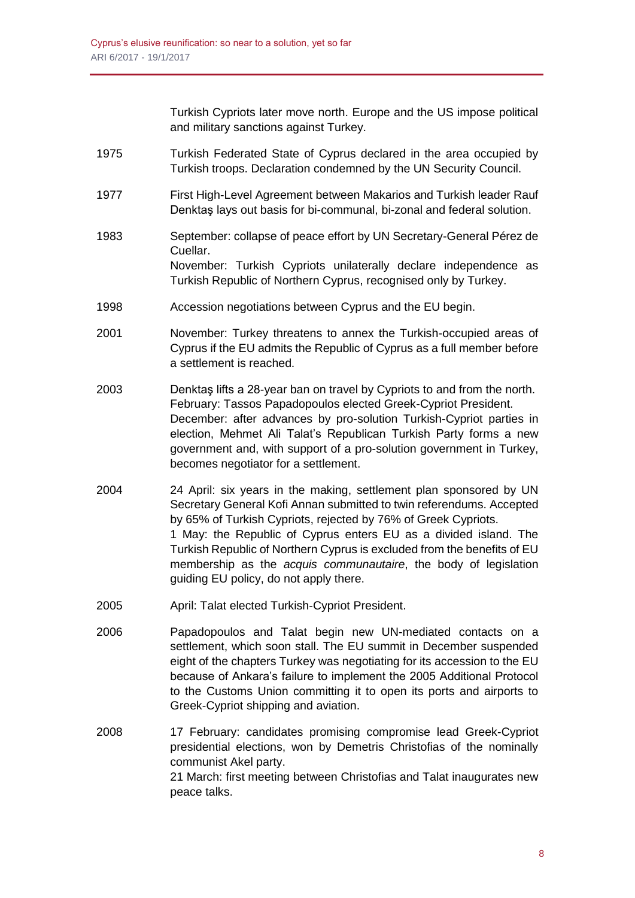Turkish Cypriots later move north. Europe and the US impose political and military sanctions against Turkey.

- 1975 Turkish Federated State of Cyprus declared in the area occupied by Turkish troops. Declaration condemned by the UN Security Council.
- 1977 First High-Level Agreement between Makarios and Turkish leader Rauf Denktaş lays out basis for bi-communal, bi-zonal and federal solution.
- 1983 September: collapse of peace effort by UN Secretary-General Pérez de Cuellar. November: Turkish Cypriots unilaterally declare independence as Turkish Republic of Northern Cyprus, recognised only by Turkey.
- 1998 Accession negotiations between Cyprus and the EU begin.
- 2001 November: Turkey threatens to annex the Turkish-occupied areas of Cyprus if the EU admits the Republic of Cyprus as a full member before a settlement is reached.
- 2003 Denktaş lifts a 28-year ban on travel by Cypriots to and from the north. February: Tassos Papadopoulos elected Greek-Cypriot President. December: after advances by pro-solution Turkish-Cypriot parties in election, Mehmet Ali Talat's Republican Turkish Party forms a new government and, with support of a pro-solution government in Turkey, becomes negotiator for a settlement.
- 2004 24 April: six years in the making, settlement plan sponsored by UN Secretary General Kofi Annan submitted to twin referendums. Accepted by 65% of Turkish Cypriots, rejected by 76% of Greek Cypriots. 1 May: the Republic of Cyprus enters EU as a divided island. The Turkish Republic of Northern Cyprus is excluded from the benefits of EU membership as the *acquis communautaire*, the body of legislation guiding EU policy, do not apply there.
- 2005 April: Talat elected Turkish-Cypriot President.
- 2006 Papadopoulos and Talat begin new UN-mediated contacts on a settlement, which soon stall. The EU summit in December suspended eight of the chapters Turkey was negotiating for its accession to the EU because of Ankara's failure to implement the 2005 Additional Protocol to the Customs Union committing it to open its ports and airports to Greek-Cypriot shipping and aviation.
- 2008 17 February: candidates promising compromise lead Greek-Cypriot presidential elections, won by Demetris Christofias of the nominally communist Akel party. 21 March: first meeting between Christofias and Talat inaugurates new peace talks.